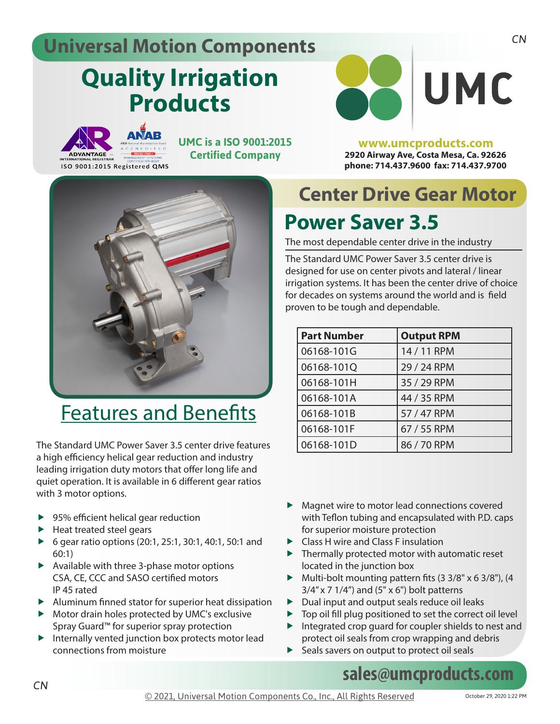#### **Universal Motion Components**

# **Quality Irrigation Products**



ISO 9001:2015 Registered QMS

**UMC is a ISO 9001:2015 Certified Company**



### Features and Benefits

The Standard UMC Power Saver 3.5 center drive features a high efficiency helical gear reduction and industry leading irrigation duty motors that offer long life and quiet operation. It is available in 6 different gear ratios with 3 motor options.

- $\blacktriangleright$  95% efficient helical gear reduction
- $\blacktriangleright$  Heat treated steel gears
- ▶ 6 gear ratio options (20:1, 25:1, 30:1, 40:1, 50:1 and 60:1)
- $\blacktriangleright$  Available with three 3-phase motor options CSA, CE, CCC and SASO certified motors IP 45 rated
- $\blacktriangleright$  Aluminum finned stator for superior heat dissipation
- $\blacktriangleright$  Motor drain holes protected by UMC's exclusive Spray Guard™ for superior spray protection
- $\blacktriangleright$  Internally vented junction box protects motor lead connections from moisture

**2920 Airway Ave, Costa Mesa, Ca. 92626 phone: 714.437.9600 fax: 714.437.9700**

**www.umcproducts.com**

### **Center Drive Gear Motor**

### **Power Saver 3.5**

The most dependable center drive in the industry

The Standard UMC Power Saver 3.5 center drive is designed for use on center pivots and lateral / linear irrigation systems. It has been the center drive of choice for decades on systems around the world and is field proven to be tough and dependable.

| <b>Part Number</b> | <b>Output RPM</b> |
|--------------------|-------------------|
| 06168-101G         | 14 / 11 RPM       |
| 06168-101Q         | 29 / 24 RPM       |
| 06168-101H         | 35 / 29 RPM       |
| 06168-101A         | 44 / 35 RPM       |
| 06168-101B         | 57 / 47 RPM       |
| 06168-101F         | 67 / 55 RPM       |
| 06168-101D         | 86 / 70 RPM       |

- $\blacktriangleright$  Magnet wire to motor lead connections covered with Teflon tubing and encapsulated with P.D. caps for superior moisture protection
- **Class H wire and Class F insulation**
- $\blacktriangleright$  Thermally protected motor with automatic reset located in the junction box
- $\blacktriangleright$  Multi-bolt mounting pattern fits (3 3/8" x 6 3/8"), (4  $3/4$ " x 7 1/4") and (5" x 6") bolt patterns
- $\blacktriangleright$  Dual input and output seals reduce oil leaks
- $\triangleright$  Top oil fill plug positioned to set the correct oil level  $\blacktriangleright$  Integrated crop guard for coupler shields to nest and
- protect oil seals from crop wrapping and debris  $\blacktriangleright$  Seals savers on output to protect oil seals

#### **sales@umcproducts.com**